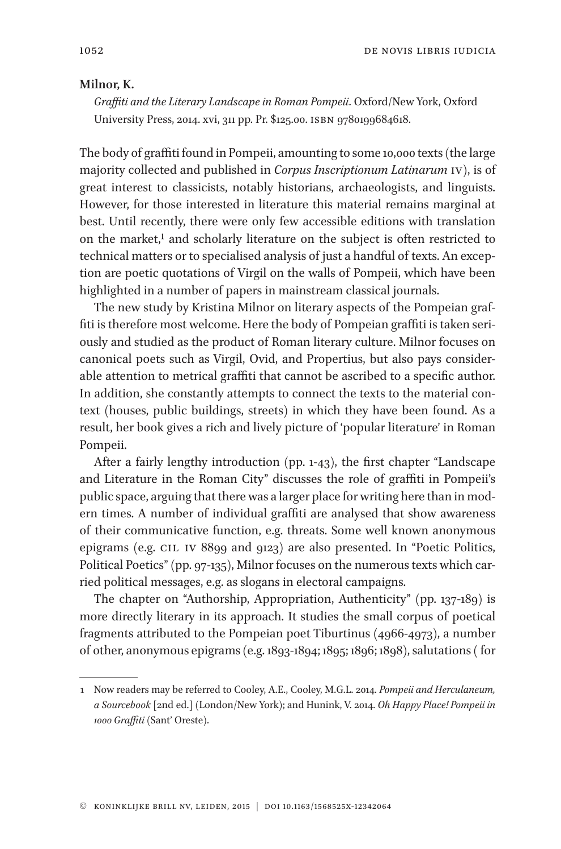## **Milnor, K.**

*Graffiti and the Literary Landscape in Roman Pompeii*. Oxford/New York, Oxford University Press, 2014. xvi, 311 pp. Pr. \$125.00. ISBN 9780199684618.

The body of graffiti found in Pompeii, amounting to some 10,000 texts (the large majority collected and published in *Corpus Inscriptionum Latinarum* IV), is of great interest to classicists, notably historians, archaeologists, and linguists. However, for those interested in literature this material remains marginal at best. Until recently, there were only few accessible editions with translation on the market,<sup>1</sup> and scholarly literature on the subject is often restricted to technical matters or to specialised analysis of just a handful of texts. An exception are poetic quotations of Virgil on the walls of Pompeii, which have been highlighted in a number of papers in mainstream classical journals.

The new study by Kristina Milnor on literary aspects of the Pompeian graffiti is therefore most welcome. Here the body of Pompeian graffiti is taken seriously and studied as the product of Roman literary culture. Milnor focuses on canonical poets such as Virgil, Ovid, and Propertius, but also pays considerable attention to metrical graffiti that cannot be ascribed to a specific author. In addition, she constantly attempts to connect the texts to the material context (houses, public buildings, streets) in which they have been found. As a result, her book gives a rich and lively picture of 'popular literature' in Roman Pompeii.

After a fairly lengthy introduction (pp. 1-43), the first chapter "Landscape and Literature in the Roman City" discusses the role of graffiti in Pompeii's public space, arguing that there was a larger place for writing here than in modern times. A number of individual graffiti are analysed that show awareness of their communicative function, e.g. threats. Some well known anonymous epigrams (e.g. CIL IV 8899 and 9123) are also presented. In "Poetic Politics, Political Poetics" (pp. 97-135), Milnor focuses on the numerous texts which carried political messages, e.g. as slogans in electoral campaigns.

The chapter on "Authorship, Appropriation, Authenticity" (pp. 137-189) is more directly literary in its approach. It studies the small corpus of poetical fragments attributed to the Pompeian poet Tiburtinus (4966-4973), a number of other, anonymous epigrams (e.g. 1893-1894; 1895; 1896; 1898), salutations ( for

<sup>1</sup> Now readers may be referred to Cooley, A.E., Cooley, M.G.L. 2014. *Pompeii and Herculaneum, a Sourcebook* [2nd ed.] (London/New York); and Hunink, V. 2014. *Oh Happy Place! Pompeii in 1000 Graffiti* (Sant' Oreste).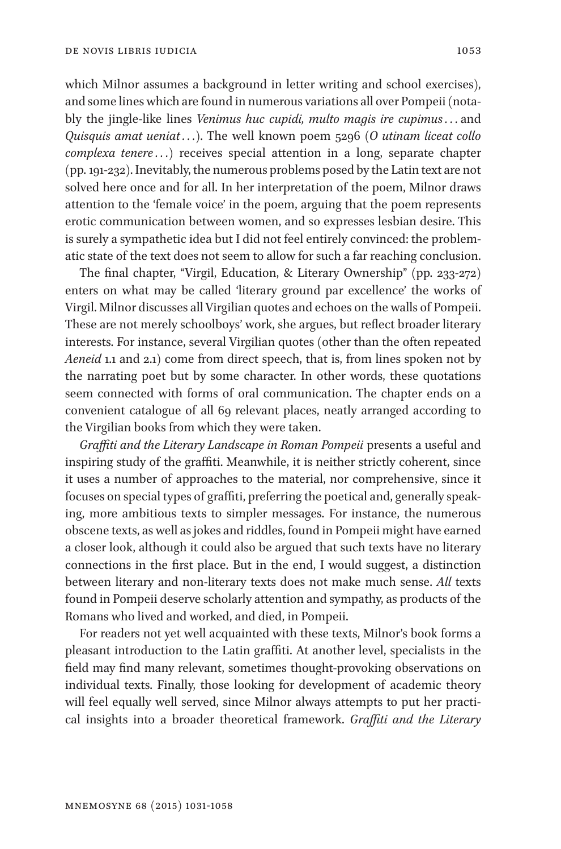which Milnor assumes a background in letter writing and school exercises), and some lines which are found in numerous variations all over Pompeii (notably the jingle-like lines *Venimus huc cupidi, multo magis ire cupimus . . .*and *Quisquis amat ueniat . . .*). The well known poem 5296 (*O utinam liceat collo complexa tenere . . .*) receives special attention in a long, separate chapter (pp. 191-232). Inevitably, the numerous problems posed by the Latin text are not solved here once and for all. In her interpretation of the poem, Milnor draws attention to the 'female voice' in the poem, arguing that the poem represents erotic communication between women, and so expresses lesbian desire. This is surely a sympathetic idea but I did not feel entirely convinced: the problematic state of the text does not seem to allow for such a far reaching conclusion.

The final chapter, "Virgil, Education, & Literary Ownership" (pp. 233-272) enters on what may be called 'literary ground par excellence' the works of Virgil. Milnor discusses all Virgilian quotes and echoes on the walls of Pompeii. These are not merely schoolboys' work, she argues, but reflect broader literary interests. For instance, several Virgilian quotes (other than the often repeated *Aeneid* 1.1 and 2.1) come from direct speech, that is, from lines spoken not by the narrating poet but by some character. In other words, these quotations seem connected with forms of oral communication. The chapter ends on a convenient catalogue of all 69 relevant places, neatly arranged according to the Virgilian books from which they were taken.

*Graffiti and the Literary Landscape in Roman Pompeii* presents a useful and inspiring study of the graffiti. Meanwhile, it is neither strictly coherent, since it uses a number of approaches to the material, nor comprehensive, since it focuses on special types of graffiti, preferring the poetical and, generally speaking, more ambitious texts to simpler messages. For instance, the numerous obscene texts, as well as jokes and riddles, found in Pompeii might have earned a closer look, although it could also be argued that such texts have no literary connections in the first place. But in the end, I would suggest, a distinction between literary and non-literary texts does not make much sense. *All* texts found in Pompeii deserve scholarly attention and sympathy, as products of the Romans who lived and worked, and died, in Pompeii.

For readers not yet well acquainted with these texts, Milnor's book forms a pleasant introduction to the Latin graffiti. At another level, specialists in the field may find many relevant, sometimes thought-provoking observations on individual texts. Finally, those looking for development of academic theory will feel equally well served, since Milnor always attempts to put her practical insights into a broader theoretical framework. *Graffiti and the Literary*